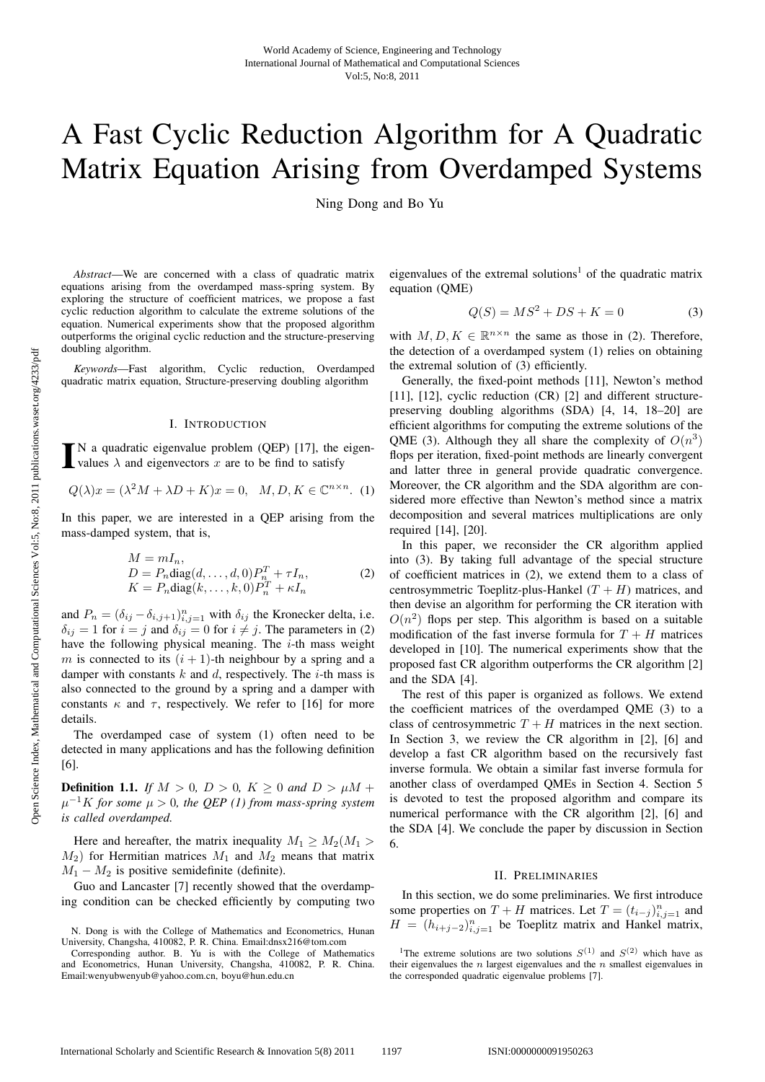# A Fast Cyclic Reduction Algorithm for A Quadratic Matrix Equation Arising from Overdamped Systems

Ning Dong and Bo Yu

*Abstract*—We are concerned with a class of quadratic matrix equations arising from the overdamped mass-spring system. By exploring the structure of coefficient matrices, we propose a fast cyclic reduction algorithm to calculate the extreme solutions of the equation. Numerical experiments show that the proposed algorithm outperforms the original cyclic reduction and the structure-preserving doubling algorithm.

*Keywords*—Fast algorithm, Cyclic reduction, Overdamped quadratic matrix equation, Structure-preserving doubling algorithm

# I. INTRODUCTION

 $\blacksquare$  N a quadratic eigenvalue problem (QEP) [17], the values  $\lambda$  and eigenvectors x are to be find to satisfy N a quadratic eigenvalue problem (QEP) [17], the eigen-

$$
Q(\lambda)x = (\lambda^2 M + \lambda D + K)x = 0, \quad M, D, K \in \mathbb{C}^{n \times n}.
$$
 (1)

In this paper, we are interested in a QEP arising from the mass-damped system, that is,

$$
M = mI_n,
$$
  
\n
$$
D = P_n \text{diag}(d, ..., d, 0) P_n^T + \tau I_n,
$$
  
\n
$$
K = P_n \text{diag}(k, ..., k, 0) P_n^T + \kappa I_n
$$
\n(2)

and  $P_n = (\delta_{ij} - \delta_{i,j+1})_{i,j=1}^n$  with  $\delta_{ij}$  the Kronecker delta, i.e.<br>  $\delta_{ii} = 1$  for  $i - i$  and  $\delta_{ii} = 0$  for  $i \neq i$ . The parameters in (2)  $\delta_{ij} = 1$  for  $i = j$  and  $\delta_{ij} = 0$  for  $i \neq j$ . The parameters in (2) have the following physical meaning. The *i*-th mass weight have the following physical meaning. The  $i$ -th mass weight m is connected to its  $(i + 1)$ -th neighbour by a spring and a damper with constants  $k$  and  $d$ , respectively. The  $i$ -th mass is also connected to the ground by a spring and a damper with constants  $\kappa$  and  $\tau$ , respectively. We refer to [16] for more details.

The overdamped case of system (1) often need to be detected in many applications and has the following definition [6].

**Definition 1.1.** *If*  $M > 0$ ,  $D > 0$ ,  $K \ge 0$  *and*  $D > \mu M +$  $\mu^{-1}K$  for some  $\mu > 0$ , the QEP (1) from mass-spring system *is called overdamped.*

Here and hereafter, the matrix inequality  $M_1 \geq M_2(M_1)$  $M_2$ ) for Hermitian matrices  $M_1$  and  $M_2$  means that matrix  $M_1 - M_2$  is positive semidefinite (definite).

Guo and Lancaster [7] recently showed that the overdamping condition can be checked efficiently by computing two eigenvalues of the extremal solutions<sup>1</sup> of the quadratic matrix equation (QME)

$$
Q(S) = MS^2 + DS + K = 0
$$
 (3)

with  $M, D, K \in \mathbb{R}^{n \times n}$  the same as those in (2). Therefore, the detection of a overdamped system (1) relies on obtaining the extremal solution of (3) efficiently.

Generally, the fixed-point methods [11], Newton's method [11], [12], cyclic reduction (CR) [2] and different structurepreserving doubling algorithms (SDA) [4, 14, 18–20] are efficient algorithms for computing the extreme solutions of the QME (3). Although they all share the complexity of  $O(n^3)$ flops per iteration, fixed-point methods are linearly convergent and latter three in general provide quadratic convergence. Moreover, the CR algorithm and the SDA algorithm are considered more effective than Newton's method since a matrix decomposition and several matrices multiplications are only required [14], [20].

In this paper, we reconsider the CR algorithm applied into (3). By taking full advantage of the special structure of coefficient matrices in (2), we extend them to a class of centrosymmetric Toeplitz-plus-Hankel  $(T + H)$  matrices, and then devise an algorithm for performing the CR iteration with  $O(n^2)$  flops per step. This algorithm is based on a suitable modification of the fast inverse formula for  $T + H$  matrices developed in [10]. The numerical experiments show that the proposed fast CR algorithm outperforms the CR algorithm [2] and the SDA [4].

The rest of this paper is organized as follows. We extend the coefficient matrices of the overdamped QME (3) to a class of centrosymmetric  $T + H$  matrices in the next section. In Section 3, we review the CR algorithm in [2], [6] and develop a fast CR algorithm based on the recursively fast inverse formula. We obtain a similar fast inverse formula for another class of overdamped QMEs in Section 4. Section 5 is devoted to test the proposed algorithm and compare its numerical performance with the CR algorithm [2], [6] and the SDA [4]. We conclude the paper by discussion in Section 6.

#### II. PRELIMINARIES

In this section, we do some preliminaries. We first introduce some properties on  $T + H$  matrices. Let  $T = (t_{i-j})_{i,j=1}^n$  and  $H = (h_{i,j})^n$  be Toenlitz matrix and Hankel matrix  $H = (h_{i+j-2})_{i,j=1}^n$  be Toeplitz matrix and Hankel matrix,

N. Dong is with the College of Mathematics and Econometrics, Hunan University, Changsha, 410082, P. R. China. Email:dnsx216@tom.com

Corresponding author. B. Yu is with the College of Mathematics and Econometrics, Hunan University, Changsha, 410082, P. R. China. Email:wenyubwenyub@yahoo.com.cn, boyu@hun.edu.cn

<sup>&</sup>lt;sup>1</sup>The extreme solutions are two solutions  $S^{(1)}$  and  $S^{(2)}$  which have as their eigenvalues the  $n$  largest eigenvalues and the  $n$  smallest eigenvalues in the corresponded quadratic eigenvalue problems [7].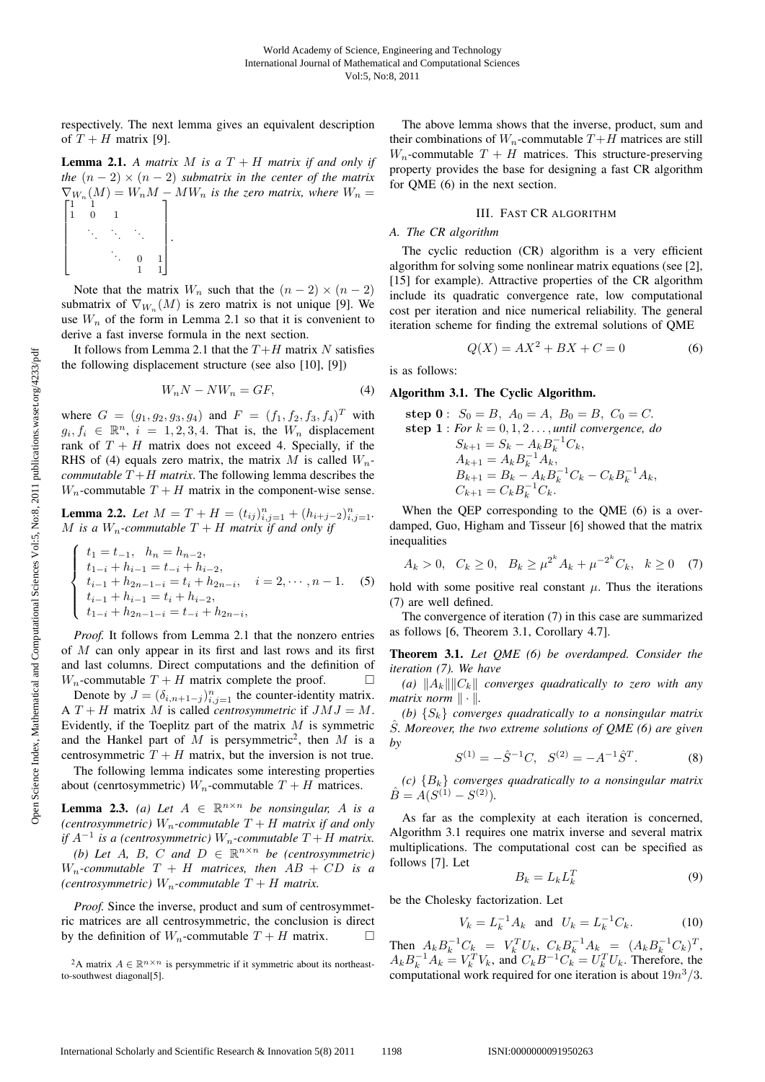respectively. The next lemma gives an equivalent description of  $T + H$  matrix [9].

**Lemma 2.1.** A matrix M is a  $T + H$  matrix if and only if *the*  $(n-2) \times (n-2)$  *submatrix in the center of the matrix*  $\nabla_{W_n}(M) = W_n M - MW_n$  is the zero matrix, where  $W_n =$  $\overline{\phantom{a}}$  $\vert$  $\overline{\phantom{a}}$  $\vert$  $\overline{a}$ 1 1 10 1 *. . . . . . . . . . . .* 0 1 ⎤ ⎥ ⎥ ⎥ ⎥ ⎦ *.*

Note that the matrix  $W_n$  such that the  $(n-2) \times (n-2)$ submatrix of  $\nabla_{W_n}(M)$  is zero matrix is not unique [9]. We use  $W_n$  of the form in Lemma 2.1 so that it is convenient to derive a fast inverse formula in the next section.

1 1

It follows from Lemma 2.1 that the  $T+H$  matrix N satisfies the following displacement structure (see also [10], [9])

$$
W_n N - N W_n = G F, \tag{4}
$$

where  $G = (g_1, g_2, g_3, g_4)$  and  $F = (f_1, f_2, f_3, f_4)^T$  with  $g_i, f_i \in \mathbb{R}^n$ ,  $i = 1, 2, 3, 4$ . That is, the  $W_n$  displacement rank of  $T + H$  matrix does not exceed 4. Specially, if the RHS of (4) equals zero matrix, the matrix M is called  $W_n$ *commutable*  $T + H$  *matrix*. The following lemma describes the  $W_n$ -commutable  $T + H$  matrix in the component-wise sense.

**Lemma 2.2.** *Let*  $M = T + H = (t_{ij})_{i,j=1}^n + (h_{i+j-2})_{i,j=1}^n$ .<br>*M* is a *W* -commutable  $T + H$  matrix if and only if M is a  $W_n$ -commutable  $T + H$  matrix if and only if

$$
\begin{cases}\n t_1 = t_{-1}, & h_n = h_{n-2}, \\
t_{1-i} + h_{i-1} = t_{-i} + h_{i-2}, \\
t_{i-1} + h_{2n-1-i} = t_i + h_{2n-i}, & i = 2, \cdots, n-1. \\
t_{i-1} + h_{i-1} = t_i + h_{i-2}, \\
t_{1-i} + h_{2n-1-i} = t_{-i} + h_{2n-i},\n\end{cases} \tag{5}
$$

*Proof.* It follows from Lemma 2.1 that the nonzero entries of M can only appear in its first and last rows and its first and last columns. Direct computations and the definition of  $W_n$ -commutable  $T + H$  matrix complete the proof.  $\Box$ 

Denote by  $J = (\delta_{i,n+1-j})_{i,j=1}^n$  the counter-identity matrix.<br>  $T + H$  matrix M is called *controsymmetric* if  $IM I - M$ A  $T + H$  matrix M is called *centrosymmetric* if  $JMJ = M$ . Evidently, if the Toeplitz part of the matrix  $M$  is symmetric and the Hankel part of  $M$  is persymmetric<sup>2</sup>, then  $M$  is a centrosymmetric  $T + H$  matrix, but the inversion is not true.

The following lemma indicates some interesting properties about (cenrtosymmetric)  $W_n$ -commutable  $T + H$  matrices.

**Lemma 2.3.** *(a)* Let  $A \in \mathbb{R}^{n \times n}$  be nonsingular, A is a *(centrosymmetric)*  $W_n$ -commutable  $T + H$  *matrix if and only if*  $A^{-1}$  *is a (centrosymmetric)*  $W_n$ -commutable  $T + H$  *matrix. (b)* Let A, B, C and  $D \in \mathbb{R}^{n \times n}$  be (centrosymmetric)  $W_n$ -commutable  $T + H$  matrices, then  $AB + CD$  is a *(centrosymmetric)*  $W_n$ -commutable  $T + H$  *matrix.* 

*Proof.* Since the inverse, product and sum of centrosymmetric matrices are all centrosymmetric, the conclusion is direct by the definition of  $W_n$ -commutable  $T + H$  matrix.  $\Box$ 

The above lemma shows that the inverse, product, sum and their combinations of  $W_n$ -commutable  $T + H$  matrices are still  $W_n$ -commutable  $T + H$  matrices. This structure-preserving property provides the base for designing a fast CR algorithm for QME (6) in the next section.

## III. FAST CR ALGORITHM

# *A. The CR algorithm*

The cyclic reduction (CR) algorithm is a very efficient algorithm for solving some nonlinear matrix equations (see [2], [15] for example). Attractive properties of the CR algorithm include its quadratic convergence rate, low computational cost per iteration and nice numerical reliability. The general iteration scheme for finding the extremal solutions of QME

$$
Q(X) = AX^2 + BX + C = 0
$$
 (6)

is as follows:

# Algorithm 3.1. The Cyclic Algorithm.

**step 0**: 
$$
S_0 = B
$$
,  $A_0 = A$ ,  $B_0 = B$ ,  $C_0 = C$ .  
\n**step 1**: *For k* = 0, 1, 2..., until convergence, do  
\n
$$
S_{k+1} = S_k - A_k B_k^{-1} C_k,
$$
\n
$$
A_{k+1} = A_k B_k^{-1} A_k,
$$
\n
$$
B_{k+1} = B_k - A_k B_k^{-1} C_k - C_k B_k^{-1} A_k,
$$
\n
$$
C_{k+1} = C_k B_k^{-1} C_k.
$$

When the QEP corresponding to the QME (6) is a overdamped, Guo, Higham and Tisseur [6] showed that the matrix inequalities

$$
A_k > 0
$$
,  $C_k \ge 0$ ,  $B_k \ge \mu^{2^k} A_k + \mu^{-2^k} C_k$ ,  $k \ge 0$  (7)

hold with some positive real constant  $\mu$ . Thus the iterations (7) are well defined.

The convergence of iteration (7) in this case are summarized as follows [6, Theorem 3.1, Corollary 4.7].

Theorem 3.1. *Let QME (6) be overdamped. Consider the iteration (7). We have*

*(a)*  $||A_k|| ||C_k||$  *converges quadratically to zero with any matrix norm*  $\|\cdot\|$ .

*(b)*  $\{S_k\}$  *converges quadratically to a nonsingular matrix* Sˆ*. Moreover, the two extreme solutions of QME (6) are given by*

$$
S^{(1)} = -\hat{S}^{-1}C, \quad S^{(2)} = -A^{-1}\hat{S}^T.
$$
 (8)

*(c)*  ${B_k}$  *converges quadratically to a nonsingular matrix*  $\hat{B} = \hat{A}(S^{(1)} - S^{(2)}).$ 

As far as the complexity at each iteration is concerned, Algorithm 3.1 requires one matrix inverse and several matrix multiplications. The computational cost can be specified as follows [7]. Let

$$
B_k = L_k L_k^T \tag{9}
$$

be the Cholesky factorization. Let

$$
V_k = L_k^{-1} A_k \text{ and } U_k = L_k^{-1} C_k. \tag{10}
$$

Then  $A_k B_k^{-1} C_k = V_k^T U_k$ ,  $C_k B_k^{-1} A_k = (A_k B_k^{-1} C_k)^T$ ,<br>  $A_k B_k^{-1} A_k = V_k^T V_k$ , and  $C_k B_k^{-1} C_k = U_k^T U_k$ . Therefore, the  $A_k B_k^{-1} A_k = V_k^T V_k$ , and  $C_k B^{-1} C_k^T = U_k^T U_k$ . Therefore, the computational work required for one iteration is about  $10n^3/3$ computational work required for one iteration is about  $19n^3/3$ .

<sup>&</sup>lt;sup>2</sup>A matrix  $A \in \mathbb{R}^{n \times n}$  is persymmetric if it symmetric about its northeastto-southwest diagonal[5].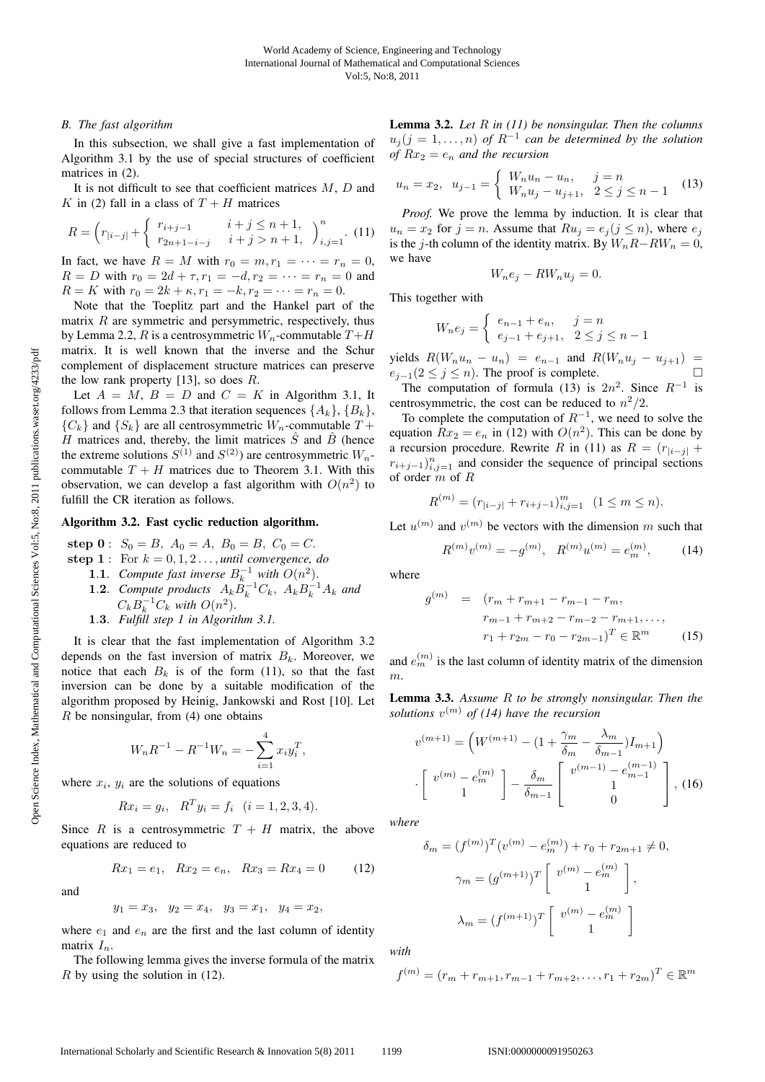# *B. The fast algorithm*

In this subsection, we shall give a fast implementation of Algorithm 3.1 by the use of special structures of coefficient matrices in (2).

It is not difficult to see that coefficient matrices  $M$ ,  $D$  and K in (2) fall in a class of  $T + H$  matrices

$$
R = \left(r_{|i-j|} + \begin{cases} r_{i+j-1} & i+j \le n+1, \\ r_{2n+1-i-j} & i+j > n+1, \end{cases}\right)_{i,j=1}^n. \tag{11}
$$

In fact, we have  $R = M$  with  $r_0 = m, r_1 = \cdots = r_n = 0$ ,<br> $R = D$  with  $r_0 = 2d + \tau$ ,  $r_1 = -d$ ,  $r_2 = \cdots = r_n = 0$  and  $R = D$  with  $r_0 = 2d + \tau$ ,  $r_1 = -d$ ,  $r_2 = \cdots = r_n = 0$  and  $R = K$  with  $r_0 = 2k + \kappa$ ,  $r_1 = -k$ ,  $r_2 = \cdots = r_n = 0$ .

Note that the Toeplitz part and the Hankel part of the matrix  $R$  are symmetric and persymmetric, respectively, thus by Lemma 2.2, R is a centrosymmetric  $W_n$ -commutable  $T+H$ matrix. It is well known that the inverse and the Schur complement of displacement structure matrices can preserve the low rank property  $[13]$ , so does R.

Let  $A = M$ ,  $B = D$  and  $C = K$  in Algorithm 3.1, It follows from Lemma 2.3 that iteration sequences  $\{A_k\}, \{B_k\},\$  ${C_k}$  and  ${S_k}$  are all centrosymmetric  $W_n$ -commutable  $T +$ H matrices and, thereby, the limit matrices  $\hat{S}$  and  $\hat{B}$  (hence the extreme solutions  $S^{(1)}$  and  $S^{(2)}$ ) are centrosymmetric  $W_n$ commutable  $T + H$  matrices due to Theorem 3.1. With this observation, we can develop a fast algorithm with  $O(n^2)$  to fulfill the CR iteration as follows.

## Algorithm 3.2. Fast cyclic reduction algorithm.

**step 0** :  $S_0 = B$ ,  $A_0 = A$ ,  $B_0 = B$ ,  $C_0 = C$ .

- **step 1** : For  $k = 0, 1, 2, \ldots$ , *until convergence, do* 
	- **1.1.** Compute fast inverse  $B_k^{-1}$  with  $O(n^2)$ .<br>**1.2.** Compute products  $A_k B^{-1}C_k$ ,  $A_k B^{-1}$
	- **1.2**. *Compute products*  $A_k \ddot{B}_k^{-1} C_k$ ,  $A_k B_k^{-1} A_k$  and  $C_k B^{-1} C_k$  with  $O(n^2)$  $C_k B_k^{-1} C_k$  with  $O(n^2)$ .<br>Fulfill step 1 in Algorii
	- **<sup>1</sup>**.**3**. *Fulfill step 1 in Algorithm 3.1.*

It is clear that the fast implementation of Algorithm 3.2 depends on the fast inversion of matrix  $B_k$ . Moreover, we notice that each  $B_k$  is of the form (11), so that the fast inversion can be done by a suitable modification of the algorithm proposed by Heinig, Jankowski and Rost [10]. Let  $R$  be nonsingular, from (4) one obtains

$$
W_n R^{-1} - R^{-1} W_n = -\sum_{i=1}^4 x_i y_i^T,
$$

where  $x_i$ ,  $y_i$  are the solutions of equations

$$
Rx_i = g_i, \ \ R^T y_i = f_i \ \ (i = 1, 2, 3, 4).
$$

Since R is a centrosymmetric  $T + H$  matrix, the above equations are reduced to

$$
Rx_1 = e_1, \quad Rx_2 = e_n, \quad Rx_3 = Rx_4 = 0 \tag{12}
$$

and

$$
y_1 = x_3
$$
,  $y_2 = x_4$ ,  $y_3 = x_1$ ,  $y_4 = x_2$ ,

where  $e_1$  and  $e_n$  are the first and the last column of identity matrix  $I_n$ .

The following lemma gives the inverse formula of the matrix  $R$  by using the solution in (12).

Lemma 3.2. *Let* R *in (11) be nonsingular. Then the columns*  $u_j$  ( $j = 1, \ldots, n$ ) of  $R^{-1}$  can be determined by the solution *of*  $Rx_2 = e_n$  *and the recursion* 

$$
u_n = x_2, \ \ u_{j-1} = \begin{cases} W_n u_n - u_n, & j = n \\ W_n u_j - u_{j+1}, & 2 \le j \le n - 1 \end{cases}
$$
 (13)

*Proof.* We prove the lemma by induction. It is clear that  $u_n = x_2$  for  $j = n$ . Assume that  $Ru_j = e_j (j \leq n)$ , where  $e_j$ is the j-th column of the identity matrix. By  $W_nR-RW_n = 0$ , we have

$$
W_n e_j - R W_n u_j = 0.
$$

This together with

$$
W_n e_j = \begin{cases} e_{n-1} + e_n, & j = n \\ e_{j-1} + e_{j+1}, & 2 \le j \le n-1 \end{cases}
$$

yields  $R(W_n u_n - u_n) = e_{n-1}$  and  $R(W_n u_j - u_{j+1}) = e_{j-1} (2 \le j \le n)$ . The proof is complete.  $e_{j-1}(2 \le j \le n)$ . The proof is complete.  $\Box$ <br>The computation of formula (13) is  $2n^2$ . Since  $R^{-1}$  is

The computation of formula (13) is  $2n^2$ . Since  $R^{-1}$  is<br>prosvmmetric, the cost can be reduced to  $n^2/2$ centrosymmetric, the cost can be reduced to  $n^2/2$ .

To complete the computation of  $R^{-1}$ , we need to solve the equation  $Rx_2 = e_n$  in (12) with  $O(n^2)$ . This can be done by a recursion procedure. Rewrite R in (11) as  $R = (r_{i-j+1})$  $r_{i+j-1}$ )<sub>i,j=1</sub> and consider the sequence of principal sections of order m of B of order m of R

$$
R^{(m)} = (r_{|i-j|} + r_{i+j-1})_{i,j=1}^m \quad (1 \le m \le n).
$$

Let  $u^{(m)}$  and  $v^{(m)}$  be vectors with the dimension m such that

$$
R^{(m)}v^{(m)} = -g^{(m)}, \quad R^{(m)}u^{(m)} = e_m^{(m)}, \tag{14}
$$

where

$$
g^{(m)} = (r_m + r_{m+1} - r_{m-1} - r_m, \nr_{m-1} + r_{m+2} - r_{m-2} - r_{m+1}, \dots, \nr_1 + r_{2m} - r_0 - r_{2m-1})^T \in \mathbb{R}^m
$$
\n(15)

and  $e_m^{(m)}$  is the last column of identity matrix of the dimension m.

Lemma 3.3. *Assume* R *to be strongly nonsingular. Then the solutions*  $v^{(m)}$  *of (14) have the recursion* 

$$
v^{(m+1)} = \left(W^{(m+1)} - (1 + \frac{\gamma_m}{\delta_m} - \frac{\lambda_m}{\delta_{m-1}})I_{m+1}\right)
$$

$$
\left[v^{(m)} - e_m^{(m)}\right] - \frac{\delta_m}{\delta_{m-1}} \left[v^{(m-1)} - e_{m-1}^{(m-1)}\right], (16)
$$

*where*

$$
\delta_m = (f^{(m)})^T (v^{(m)} - e_m^{(m)}) + r_0 + r_{2m+1} \neq 0,
$$
  

$$
\gamma_m = (g^{(m+1)})^T \begin{bmatrix} v^{(m)} - e_m^{(m)} \\ 1 \end{bmatrix},
$$
  

$$
\lambda_m = (f^{(m+1)})^T \begin{bmatrix} v^{(m)} - e_m^{(m)} \\ 1 \end{bmatrix}
$$

*with*

$$
f^{(m)} = (r_m + r_{m+1}, r_{m-1} + r_{m+2}, \dots, r_1 + r_{2m})^T \in \mathbb{R}^m
$$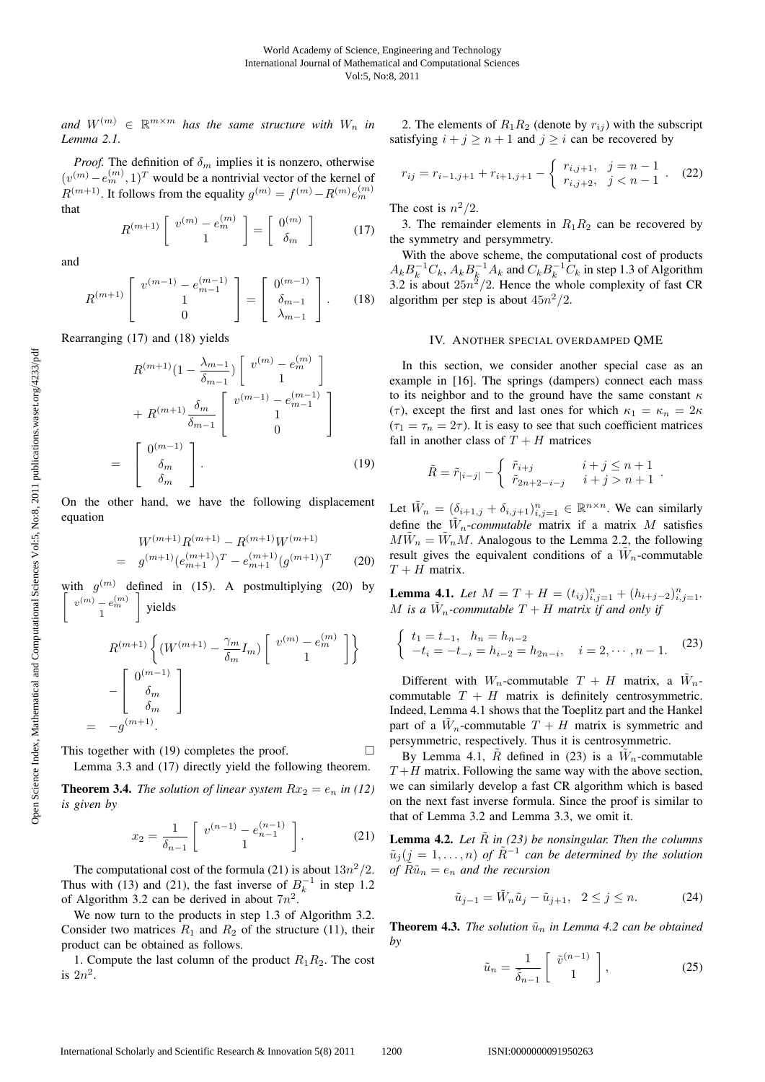and  $W^{(m)} \in \mathbb{R}^{m \times m}$  *has the same structure with*  $W_n$  *in Lemma 2.1.*

*Proof.* The definition of  $\delta_m$  implies it is nonzero, otherwise  $(v^{(m)} - e_m^{(m)}, 1)^T$  would be a nontrivial vector of the kernel of  $D(m+1)$  it follows from the equality  $c(m) - f(m) - D(m)c(m)$  $R^{(m+1)}$ . It follows from the equality  $g^{(m)} = f^{(m)} - R^{(m)} e_m^{(m)}$ that

$$
R^{(m+1)}\left[\begin{array}{c}v^{(m)}-e_m^{(m)}\\1\end{array}\right]=\left[\begin{array}{c}0^{(m)}\\ \delta_m\end{array}\right]
$$
(17)

and

$$
R^{(m+1)}\begin{bmatrix}v^{(m-1)}-e_{m-1}^{(m-1)}\\1\\0\end{bmatrix} = \begin{bmatrix}0^{(m-1)}\\ \delta_{m-1}\\ \lambda_{m-1}\end{bmatrix}.
$$
 (18)

Rearranging (17) and (18) yields

$$
R^{(m+1)}(1 - \frac{\lambda_{m-1}}{\delta_{m-1}}) \begin{bmatrix} v^{(m)} - e_m^{(m)} \\ 1 \end{bmatrix}
$$

$$
+ R^{(m+1)} \frac{\delta_m}{\delta_{m-1}} \begin{bmatrix} v^{(m-1)} - e_{m-1}^{(m-1)} \\ 1 \\ 0 \end{bmatrix}
$$

$$
= \begin{bmatrix} 0^{(m-1)} \\ \delta_m \\ \delta_m \end{bmatrix} . \tag{19}
$$

On the other hand, we have the following displacement equation

$$
W^{(m+1)}R^{(m+1)} - R^{(m+1)}W^{(m+1)}
$$
  
= 
$$
g^{(m+1)}(e_{m+1}^{(m+1)})^T - e_{m+1}^{(m+1)}(g^{(m+1)})^T
$$
 (20)

with  $g^{(m)}$  defined in (15). A postmultiplying (20) by  $\left\lceil \begin{array}{c} v^{(m)} - e_m^{(m)} \\ 1 \end{array} \right\rceil$ 1 yields

$$
R^{(m+1)} \left\{ (W^{(m+1)} - \frac{\gamma_m}{\delta_m} I_m) \begin{bmatrix} v^{(m)} - e_m^{(m)} \\ 1 \end{bmatrix} \right\}
$$

$$
- \begin{bmatrix} 0^{(m-1)} \\ \delta_m \\ \delta_m \end{bmatrix}
$$

$$
= -g^{(m+1)}.
$$

This together with (19) completes the proof.  $\Box$ 

Lemma 3.3 and (17) directly yield the following theorem.

**Theorem 3.4.** *The solution of linear system*  $Rx_2 = e_n$  *in* (12) *is given by*

$$
x_2 = \frac{1}{\delta_{n-1}} \left[ \begin{array}{c} v^{(n-1)} - e_{n-1}^{(n-1)} \\ 1 \end{array} \right]. \tag{21}
$$

The computational cost of the formula (21) is about  $13n^2/2$ . Thus with (13) and (21), the fast inverse of  $B_k^{-1}$  in step 1.2<br>of Algorithm 3.2 can be derived in about  $7n^2$ of Algorithm 3.2 can be derived in about  $7n^2$ .

We now turn to the products in step 1.3 of Algorithm 3.2. Consider two matrices  $R_1$  and  $R_2$  of the structure (11), their product can be obtained as follows.

1. Compute the last column of the product  $R_1R_2$ . The cost is  $2n^2$ .

2. The elements of  $R_1R_2$  (denote by  $r_{ij}$ ) with the subscript satisfying  $i + j \ge n + 1$  and  $j \ge i$  can be recovered by

$$
r_{ij} = r_{i-1,j+1} + r_{i+1,j+1} - \begin{cases} r_{i,j+1}, & j = n-1 \\ r_{i,j+2}, & j < n-1 \end{cases} . \tag{22}
$$

The cost is  $n^2/2$ .

3. The remainder elements in  $R_1R_2$  can be recovered by the symmetry and persymmetry.

With the above scheme, the computational cost of products  $A_k B_k^{-1} C_k$ ,  $A_k B_k^{-1} A_k$  and  $C_k B_k^{-1} C_k$  in step 1.3 of Algorithm<br>3.2 is about  $25n^2/2$ . Hence the whole complexity of fast CR 3.2 is about  $25n^2/2$ . Hence the whole complexity of fast CR algorithm per step is about  $45n^2/2$ .

### IV. ANOTHER SPECIAL OVERDAMPED QME

In this section, we consider another special case as an example in [16]. The springs (dampers) connect each mass to its neighbor and to the ground have the same constant  $\kappa$ (τ), except the first and last ones for which  $\kappa_1 = \kappa_n = 2\kappa$  $(\tau_1 = \tau_n = 2\tau)$ . It is easy to see that such coefficient matrices fall in another class of  $T + H$  matrices

$$
\tilde{R} = \tilde{r}_{|i-j|} - \begin{cases} \tilde{r}_{i+j} & i+j \leq n+1 \\ \tilde{r}_{2n+2-i-j} & i+j > n+1 \end{cases}.
$$

Let  $\tilde{W}_n = (\delta_{i+1,j} + \delta_{i,j+1})_{i,j=1}^n \in \mathbb{R}^{n \times n}$ . We can similarly define the  $\tilde{W}_n$ -*commutable* matrix if a matrix M satisfies  $M\tilde{W}_n = \tilde{W}_nM$ . Analogous to the Lemma 2.2, the following result gives the equivalent conditions of a  $\tilde{W}_n$ -commutable  $T + H$  matrix.

**Lemma 4.1.** *Let*  $M = T + H = (t_{ij})_{i,j=1}^n + (h_{i+j-2})_{i,j=1}^n$ .<br>*M* is a *W*, asymptotle  $T + H$  matrix if and only if M is a  $\tilde{W}_n$ -commutable  $T + H$  matrix if and only if

$$
\begin{cases} t_1 = t_{-1}, & h_n = h_{n-2} \\ -t_i = -t_{-i} = h_{i-2} = h_{2n-i}, & i = 2, \cdots, n-1. \end{cases}
$$
 (23)

Different with  $W_n$ -commutable  $T + H$  matrix, a  $W_n$ commutable  $T + H$  matrix is definitely centrosymmetric. Indeed, Lemma 4.1 shows that the Toeplitz part and the Hankel part of a  $\tilde{W}_n$ -commutable  $T + H$  matrix is symmetric and persymmetric, respectively. Thus it is centrosymmetric.

By Lemma 4.1,  $\tilde{R}$  defined in (23) is a  $\tilde{W}_n$ -commutable  $T + H$  matrix. Following the same way with the above section, we can similarly develop a fast CR algorithm which is based on the next fast inverse formula. Since the proof is similar to that of Lemma 3.2 and Lemma 3.3, we omit it.

**Lemma 4.2.** Let  $\tilde{R}$  in (23) be nonsingular. Then the columns  $\tilde{u}_i (j = 1, \ldots, n)$  of  $\tilde{R}^{-1}$  can be determined by the solution *of*  $\tilde{R}\tilde{u}_n = e_n$  *and the recursion* 

$$
\tilde{u}_{j-1} = \tilde{W}_n \tilde{u}_j - \tilde{u}_{j+1}, \ \ 2 \le j \le n. \tag{24}
$$

**Theorem 4.3.** *The solution*  $\tilde{u}_n$  *in Lemma 4.2 can be obtained by*

$$
\tilde{u}_n = \frac{1}{\tilde{\delta}_{n-1}} \left[ \begin{array}{c} \tilde{v}^{(n-1)} \\ 1 \end{array} \right],\tag{25}
$$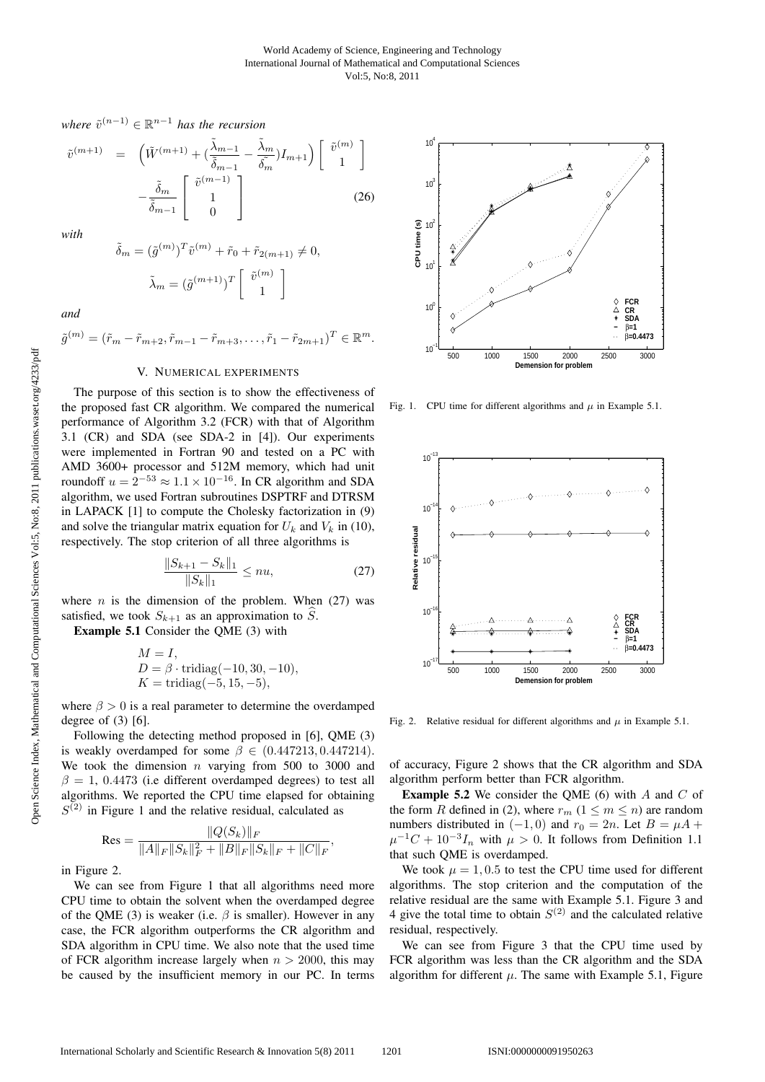*where*  $\tilde{v}^{(n-1)} \in \mathbb{R}^{n-1}$  *has the recursion* 

$$
\tilde{v}^{(m+1)} = \left(\tilde{W}^{(m+1)} + \left(\frac{\tilde{\lambda}_{m-1}}{\tilde{\delta}_{m-1}} - \frac{\tilde{\lambda}_m}{\tilde{\delta}_m}\right)I_{m+1}\right) \begin{bmatrix} \tilde{v}^{(m)} \\ 1 \end{bmatrix} - \frac{\tilde{\delta}_m}{\tilde{\delta}_{m-1}} \begin{bmatrix} \tilde{v}^{(m-1)} \\ 1 \\ 0 \end{bmatrix}
$$
\n(26)

*with*

$$
\tilde{\delta}_m = (\tilde{g}^{(m)})^T \tilde{v}^{(m)} + \tilde{r}_0 + \tilde{r}_{2(m+1)} \neq 0,
$$

$$
\tilde{\lambda}_m = (\tilde{g}^{(m+1)})^T \begin{bmatrix} \tilde{v}^{(m)} \\ 1 \end{bmatrix}
$$

*and*

$$
\tilde{g}^{(m)} = (\tilde{r}_m - \tilde{r}_{m+2}, \tilde{r}_{m-1} - \tilde{r}_{m+3}, \dots, \tilde{r}_1 - \tilde{r}_{2m+1})^T \in \mathbb{R}^m.
$$

# V. NUMERICAL EXPERIMENTS

The purpose of this section is to show the effectiveness of the proposed fast CR algorithm. We compared the numerical performance of Algorithm 3.2 (FCR) with that of Algorithm 3.1 (CR) and SDA (see SDA-2 in [4]). Our experiments were implemented in Fortran 90 and tested on a PC with AMD 3600+ processor and 512M memory, which had unit roundoff  $u = 2^{-53} \approx 1.1 \times 10^{-16}$ . In CR algorithm and SDA algorithm, we used Fortran subroutines DSPTRF and DTRSM in LAPACK [1] to compute the Cholesky factorization in (9) and solve the triangular matrix equation for  $U_k$  and  $V_k$  in (10), respectively. The stop criterion of all three algorithms is

$$
\frac{\|S_{k+1} - S_k\|_1}{\|S_k\|_1} \le nu,\tag{27}
$$

where  $n$  is the dimension of the problem. When (27) was satisfied, we took  $S_{k+1}$  as an approximation to  $\widehat{S}$ .

Example 5.1 Consider the QME (3) with

$$
M = I,D = \beta \cdot tridiag(-10, 30, -10),K = tridiag(-5, 15, -5),
$$

where  $\beta > 0$  is a real parameter to determine the overdamped degree of  $(3)$  [6].

Following the detecting method proposed in [6], QME (3) is weakly overdamped for some  $\beta \in (0.447213, 0.447214)$ . We took the dimension  $n$  varying from 500 to 3000 and  $\beta = 1$ , 0.4473 (i.e different overdamped degrees) to test all algorithms. We reported the CPU time elapsed for obtaining  $S^{(2)}$  in Figure 1 and the relative residual, calculated as

$$
\text{Res} = \frac{\|Q(S_k)\|_F}{\|A\|_F \|S_k\|_F^2 + \|B\|_F \|S_k\|_F + \|C\|_F},
$$

in Figure 2.

We can see from Figure 1 that all algorithms need more CPU time to obtain the solvent when the overdamped degree of the QME (3) is weaker (i.e.  $\beta$  is smaller). However in any case, the FCR algorithm outperforms the CR algorithm and SDA algorithm in CPU time. We also note that the used time of FCR algorithm increase largely when  $n > 2000$ , this may be caused by the insufficient memory in our PC. In terms



Fig. 1. CPU time for different algorithms and  $\mu$  in Example 5.1.



Fig. 2. Relative residual for different algorithms and  $\mu$  in Example 5.1.

of accuracy, Figure 2 shows that the CR algorithm and SDA algorithm perform better than FCR algorithm.

**Example 5.2** We consider the QME (6) with  $A$  and  $C$  of the form R defined in (2), where  $r_m$  ( $1 \le m \le n$ ) are random numbers distributed in  $(-1, 0)$  and  $r_0 = 2n$ . Let  $B = \mu A + \mu B$  $\mu^{-1}C + 10^{-3}I_n$  with  $\mu > 0$ . It follows from Definition 1.1 that such QME is overdamped.

We took  $\mu = 1, 0.5$  to test the CPU time used for different algorithms. The stop criterion and the computation of the relative residual are the same with Example 5.1. Figure 3 and 4 give the total time to obtain  $S^{(2)}$  and the calculated relative residual, respectively.

We can see from Figure 3 that the CPU time used by FCR algorithm was less than the CR algorithm and the SDA algorithm for different  $\mu$ . The same with Example 5.1, Figure